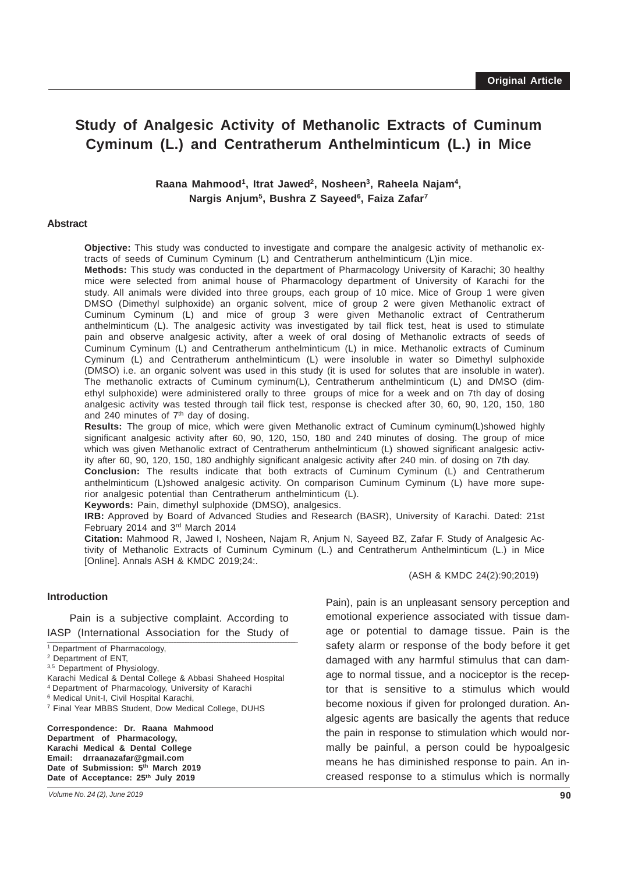# **Study of Analgesic Activity of Methanolic Extracts of Cuminum Cyminum (L.) and Centratherum Anthelminticum (L.) in Mice**

## Raana Mahmood<sup>1</sup>, Itrat Jawed<sup>2</sup>, Nosheen<sup>3</sup>, Raheela Najam<sup>4</sup>, **Nargis Anjum5, Bushra Z Sayeed6, Faiza Zafar7**

#### **Abstract**

**Objective:** This study was conducted to investigate and compare the analgesic activity of methanolic extracts of seeds of Cuminum Cyminum (L) and Centratherum anthelminticum (L)in mice.

**Methods:** This study was conducted in the department of Pharmacology University of Karachi; 30 healthy mice were selected from animal house of Pharmacology department of University of Karachi for the study. All animals were divided into three groups, each group of 10 mice. Mice of Group 1 were given DMSO (Dimethyl sulphoxide) an organic solvent, mice of group 2 were given Methanolic extract of Cuminum Cyminum (L) and mice of group 3 were given Methanolic extract of Centratherum anthelminticum (L). The analgesic activity was investigated by tail flick test, heat is used to stimulate pain and observe analgesic activity, after a week of oral dosing of Methanolic extracts of seeds of Cuminum Cyminum (L) and Centratherum anthelminticum (L) in mice. Methanolic extracts of Cuminum Cyminum (L) and Centratherum anthelminticum (L) were insoluble in water so Dimethyl sulphoxide (DMSO) i.e. an organic solvent was used in this study (it is used for solutes that are insoluble in water). The methanolic extracts of Cuminum cyminum(L), Centratherum anthelminticum (L) and DMSO (dimethyl sulphoxide) were administered orally to three groups of mice for a week and on 7th day of dosing analgesic activity was tested through tail flick test, response is checked after 30, 60, 90, 120, 150, 180 and 240 minutes of  $7<sup>th</sup>$  day of dosing.

**Results:** The group of mice, which were given Methanolic extract of Cuminum cyminum(L)showed highly significant analgesic activity after 60, 90, 120, 150, 180 and 240 minutes of dosing. The group of mice which was given Methanolic extract of Centratherum anthelminticum (L) showed significant analgesic activity after 60, 90, 120, 150, 180 andhighly significant analgesic activity after 240 min. of dosing on 7th day.

**Conclusion:** The results indicate that both extracts of Cuminum Cyminum (L) and Centratherum anthelminticum (L)showed analgesic activity. On comparison Cuminum Cyminum (L) have more superior analgesic potential than Centratherum anthelminticum (L).

**Keywords:** Pain, dimethyl sulphoxide (DMSO), analgesics.

**IRB:** Approved by Board of Advanced Studies and Research (BASR), University of Karachi. Dated: 21st February 2014 and 3rd March 2014

**Citation:** Mahmood R, Jawed I, Nosheen, Najam R, Anjum N, Sayeed BZ, Zafar F. Study of Analgesic Activity of Methanolic Extracts of Cuminum Cyminum (L.) and Centratherum Anthelminticum (L.) in Mice [Online]. Annals ASH & KMDC 2019;24:.

#### **Introduction**

IASP (International Association for the Study of Pain is a subjective complaint. According to

<sup>1</sup> Department of Pharmacology,

2 Department of ENT,

3,5 Department of Physiology,

Karachi Medical & Dental College & Abbasi Shaheed Hospital

4 Department of Pharmacology, University of Karachi

6 Medical Unit-I, Civil Hospital Karachi,

7 Final Year MBBS Student, Dow Medical College, DUHS

**Correspondence: Dr. Raana Mahmood Department of Pharmacology, Karachi Medical & Dental College Email: drraanazafar@gmail.com** Date of Submission: 5<sup>th</sup> March 2019 Date of Acceptance: 25<sup>th</sup> July 2019

(ASH & KMDC 24(2):90;2019)

Pain), pain is an unpleasant sensory perception and emotional experience associated with tissue damage or potential to damage tissue. Pain is the safety alarm or response of the body before it get damaged with any harmful stimulus that can damage to normal tissue, and a nociceptor is the receptor that is sensitive to a stimulus which would become noxious if given for prolonged duration. Analgesic agents are basically the agents that reduce the pain in response to stimulation which would normally be painful, a person could be hypoalgesic means he has diminished response to pain. An increased response to a stimulus which is normally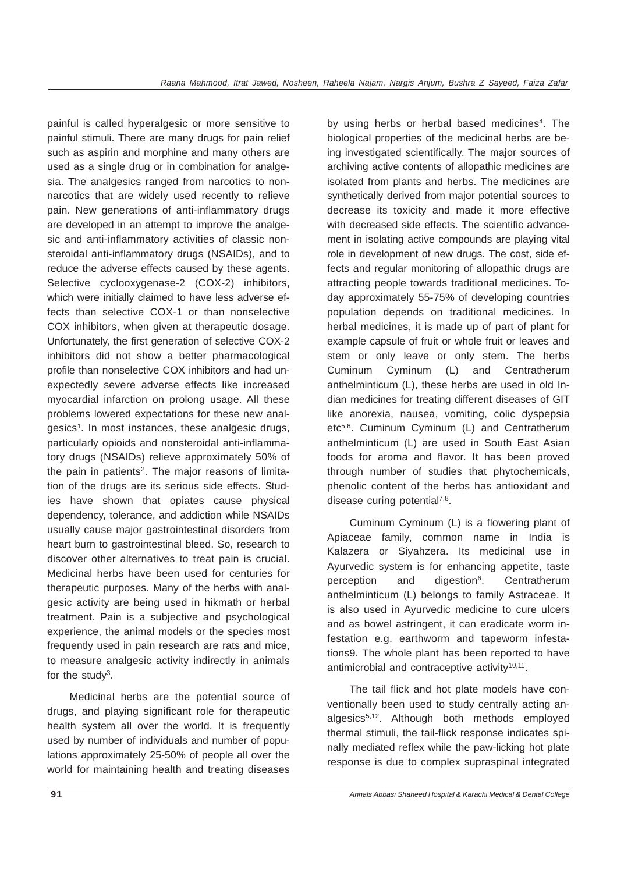painful is called hyperalgesic or more sensitive to painful stimuli. There are many drugs for pain relief such as aspirin and morphine and many others are used as a single drug or in combination for analgesia. The analgesics ranged from narcotics to nonnarcotics that are widely used recently to relieve pain. New generations of anti-inflammatory drugs are developed in an attempt to improve the analgesic and anti-inflammatory activities of classic nonsteroidal anti-inflammatory drugs (NSAIDs), and to reduce the adverse effects caused by these agents. Selective cyclooxygenase-2 (COX-2) inhibitors, which were initially claimed to have less adverse effects than selective COX-1 or than nonselective COX inhibitors, when given at therapeutic dosage. Unfortunately, the first generation of selective COX-2 inhibitors did not show a better pharmacological profile than nonselective COX inhibitors and had unexpectedly severe adverse effects like increased myocardial infarction on prolong usage. All these problems lowered expectations for these new analgesics1. In most instances, these analgesic drugs, particularly opioids and nonsteroidal anti-inflammatory drugs (NSAIDs) relieve approximately 50% of the pain in patients<sup>2</sup>. The major reasons of limitation of the drugs are its serious side effects. Studies have shown that opiates cause physical dependency, tolerance, and addiction while NSAIDs usually cause major gastrointestinal disorders from heart burn to gastrointestinal bleed. So, research to discover other alternatives to treat pain is crucial. Medicinal herbs have been used for centuries for therapeutic purposes. Many of the herbs with analgesic activity are being used in hikmath or herbal treatment. Pain is a subjective and psychological experience, the animal models or the species most frequently used in pain research are rats and mice, to measure analgesic activity indirectly in animals for the study $3$ .

Medicinal herbs are the potential source of drugs, and playing significant role for therapeutic health system all over the world. It is frequently used by number of individuals and number of populations approximately 25-50% of people all over the world for maintaining health and treating diseases by using herbs or herbal based medicines<sup>4</sup>. The biological properties of the medicinal herbs are being investigated scientifically. The major sources of archiving active contents of allopathic medicines are isolated from plants and herbs. The medicines are synthetically derived from major potential sources to decrease its toxicity and made it more effective with decreased side effects. The scientific advancement in isolating active compounds are playing vital role in development of new drugs. The cost, side effects and regular monitoring of allopathic drugs are attracting people towards traditional medicines. Today approximately 55-75% of developing countries population depends on traditional medicines. In herbal medicines, it is made up of part of plant for example capsule of fruit or whole fruit or leaves and stem or only leave or only stem. The herbs Cuminum Cyminum (L) and Centratherum anthelminticum (L), these herbs are used in old Indian medicines for treating different diseases of GIT like anorexia, nausea, vomiting, colic dyspepsia etc5,6. Cuminum Cyminum (L) and Centratherum anthelminticum (L) are used in South East Asian foods for aroma and flavor. It has been proved through number of studies that phytochemicals, phenolic content of the herbs has antioxidant and disease curing potential<sup>7,8</sup>.

Cuminum Cyminum (L) is a flowering plant of Apiaceae family, common name in India is Kalazera or Siyahzera. Its medicinal use in Ayurvedic system is for enhancing appetite, taste perception and digestion<sup>6</sup>. Centratherum anthelminticum (L) belongs to family Astraceae. It is also used in Ayurvedic medicine to cure ulcers and as bowel astringent, it can eradicate worm infestation e.g. earthworm and tapeworm infestations9. The whole plant has been reported to have antimicrobial and contraceptive activity<sup>10,11</sup>.

The tail flick and hot plate models have conventionally been used to study centrally acting analgesics<sup>5,12</sup>. Although both methods employed thermal stimuli, the tail-flick response indicates spinally mediated reflex while the paw-licking hot plate response is due to complex supraspinal integrated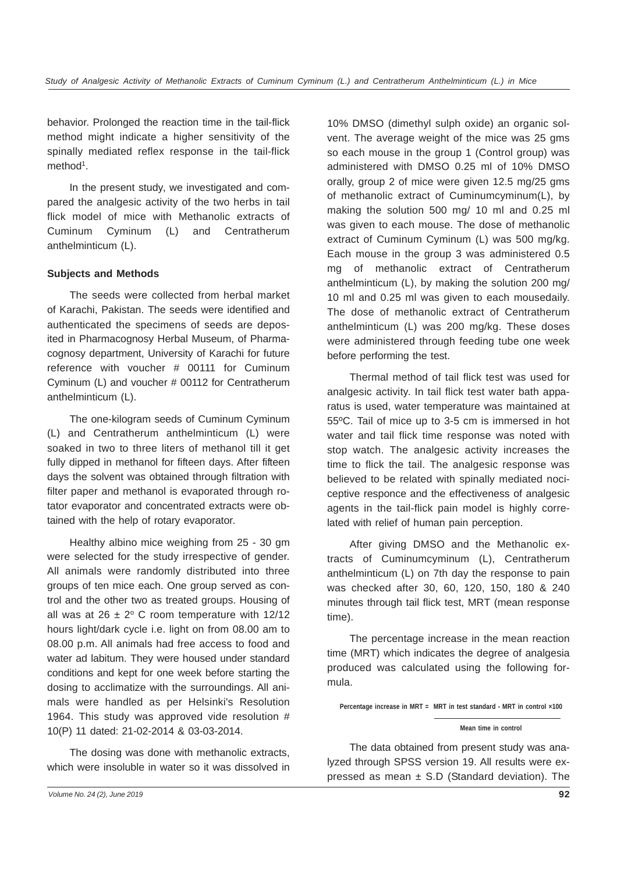behavior. Prolonged the reaction time in the tail-flick method might indicate a higher sensitivity of the spinally mediated reflex response in the tail-flick method<sup>1</sup>.

In the present study, we investigated and compared the analgesic activity of the two herbs in tail flick model of mice with Methanolic extracts of Cuminum Cyminum (L) and Centratherum anthelminticum (L).

## **Subjects and Methods**

The seeds were collected from herbal market of Karachi, Pakistan. The seeds were identified and authenticated the specimens of seeds are deposited in Pharmacognosy Herbal Museum, of Pharmacognosy department, University of Karachi for future reference with voucher # 00111 for Cuminum Cyminum (L) and voucher # 00112 for Centratherum anthelminticum (L).

The one-kilogram seeds of Cuminum Cyminum (L) and Centratherum anthelminticum (L) were soaked in two to three liters of methanol till it get fully dipped in methanol for fifteen days. After fifteen days the solvent was obtained through filtration with filter paper and methanol is evaporated through rotator evaporator and concentrated extracts were obtained with the help of rotary evaporator.

Healthy albino mice weighing from 25 - 30 gm were selected for the study irrespective of gender. All animals were randomly distributed into three groups of ten mice each. One group served as control and the other two as treated groups. Housing of all was at  $26 \pm 2^{\circ}$  C room temperature with 12/12 hours light/dark cycle i.e. light on from 08.00 am to 08.00 p.m. All animals had free access to food and water ad labitum. They were housed under standard conditions and kept for one week before starting the dosing to acclimatize with the surroundings. All animals were handled as per Helsinki's Resolution 1964. This study was approved vide resolution # 10(P) 11 dated: 21-02-2014 & 03-03-2014.

The dosing was done with methanolic extracts, which were insoluble in water so it was dissolved in 10% DMSO (dimethyl sulph oxide) an organic solvent. The average weight of the mice was 25 gms so each mouse in the group 1 (Control group) was administered with DMSO 0.25 ml of 10% DMSO orally, group 2 of mice were given 12.5 mg/25 gms of methanolic extract of Cuminumcyminum(L), by making the solution 500 mg/ 10 ml and 0.25 ml was given to each mouse. The dose of methanolic extract of Cuminum Cyminum (L) was 500 mg/kg. Each mouse in the group 3 was administered 0.5 mg of methanolic extract of Centratherum anthelminticum (L), by making the solution 200 mg/ 10 ml and 0.25 ml was given to each mousedaily. The dose of methanolic extract of Centratherum anthelminticum (L) was 200 mg/kg. These doses were administered through feeding tube one week before performing the test.

Thermal method of tail flick test was used for analgesic activity. In tail flick test water bath apparatus is used, water temperature was maintained at 55ºC. Tail of mice up to 3-5 cm is immersed in hot water and tail flick time response was noted with stop watch. The analgesic activity increases the time to flick the tail. The analgesic response was believed to be related with spinally mediated nociceptive responce and the effectiveness of analgesic agents in the tail-flick pain model is highly correlated with relief of human pain perception.

After giving DMSO and the Methanolic extracts of Cuminumcyminum (L), Centratherum anthelminticum (L) on 7th day the response to pain was checked after 30, 60, 120, 150, 180 & 240 minutes through tail flick test, MRT (mean response time).

The percentage increase in the mean reaction time (MRT) which indicates the degree of analgesia produced was calculated using the following formula.

**Percentage increase in MRT = MRT in test standard - MRT in control ×100**

The data obtained from present study was analyzed through SPSS version 19. All results were expressed as mean  $\pm$  S.D (Standard deviation). The

**Mean time in control**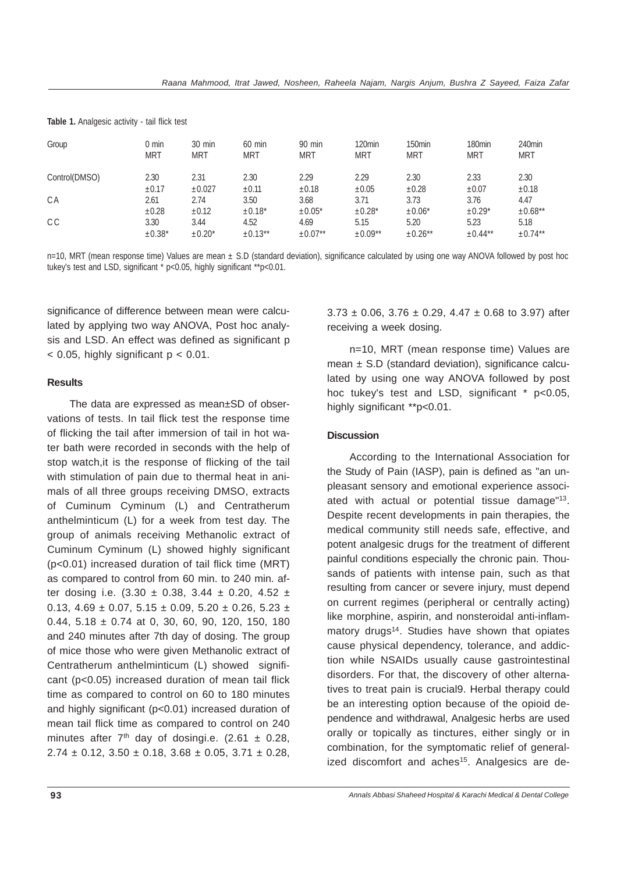| Group         | 0 min<br><b>MRT</b> | $30 \text{ min}$<br><b>MRT</b> | $60$ min<br><b>MRT</b> | $90$ min<br><b>MRT</b> | 120 <sub>min</sub><br><b>MRT</b> | 150 <sub>min</sub><br><b>MRT</b> | 180 <sub>min</sub><br><b>MRT</b> | 240 <sub>min</sub><br><b>MRT</b> |
|---------------|---------------------|--------------------------------|------------------------|------------------------|----------------------------------|----------------------------------|----------------------------------|----------------------------------|
| Control(DMSO) | 2.30<br>$\pm 0.17$  | 2.31<br>±0.027                 | 2.30<br>±0.11          | 2.29<br>$\pm 0.18$     | 2.29<br>$\pm 0.05$               | 2.30<br>$\pm 0.28$               | 2.33<br>$\pm 0.07$               | 2.30<br>$\pm 0.18$               |
| СA            | 2.61                | 2.74                           | 3.50                   | 3.68                   | 3.71                             | 3.73                             | 3.76                             | 4.47                             |
|               | $\pm 0.28$          | $\pm 0.12$                     | $±0.18*$               | $±0.05*$               | $±0.28*$                         | $\pm 0.06*$                      | $±0.29*$                         | $±0.68***$                       |
| C C           | 3.30                | 3.44                           | 4.52                   | 4.69                   | 5.15                             | 5.20                             | 5.23                             | 5.18                             |
|               | $±0.38*$            | $±0.20*$                       | $±0.13***$             | $±0.07**$              | $±0.09**$                        | $±0.26***$                       | $\pm 0.44***$                    | $\pm 0.74***$                    |

**Table 1.** Analgesic activity - tail flick test

n=10, MRT (mean response time) Values are mean ± S.D (standard deviation), significance calculated by using one way ANOVA followed by post hoc tukey's test and LSD, significant \* p<0.05, highly significant \*\*p<0.01.

significance of difference between mean were calculated by applying two way ANOVA, Post hoc analysis and LSD. An effect was defined as significant p  $<$  0.05, highly significant  $p < 0.01$ .

## **Results**

The data are expressed as mean±SD of observations of tests. In tail flick test the response time of flicking the tail after immersion of tail in hot water bath were recorded in seconds with the help of stop watch,it is the response of flicking of the tail with stimulation of pain due to thermal heat in animals of all three groups receiving DMSO, extracts of Cuminum Cyminum (L) and Centratherum anthelminticum (L) for a week from test day. The group of animals receiving Methanolic extract of Cuminum Cyminum (L) showed highly significant (p<0.01) increased duration of tail flick time (MRT) as compared to control from 60 min. to 240 min. after dosing i.e.  $(3.30 \pm 0.38, 3.44 \pm 0.20, 4.52 \pm 1.0)$ 0.13, 4.69  $\pm$  0.07, 5.15  $\pm$  0.09, 5.20  $\pm$  0.26, 5.23  $\pm$ 0.44,  $5.18 \pm 0.74$  at 0, 30, 60, 90, 120, 150, 180 and 240 minutes after 7th day of dosing. The group of mice those who were given Methanolic extract of Centratherum anthelminticum (L) showed significant (p<0.05) increased duration of mean tail flick time as compared to control on 60 to 180 minutes and highly significant (p<0.01) increased duration of mean tail flick time as compared to control on 240 minutes after  $7<sup>th</sup>$  day of dosingi.e. (2.61  $\pm$  0.28,  $2.74 \pm 0.12$ ,  $3.50 \pm 0.18$ ,  $3.68 \pm 0.05$ ,  $3.71 \pm 0.28$ ,

 $3.73 \pm 0.06$ ,  $3.76 \pm 0.29$ ,  $4.47 \pm 0.68$  to 3.97) after receiving a week dosing.

n=10, MRT (mean response time) Values are mean  $\pm$  S.D (standard deviation), significance calculated by using one way ANOVA followed by post hoc tukey's test and LSD, significant \* p<0.05, highly significant \*\*p<0.01.

#### **Discussion**

According to the International Association for the Study of Pain (IASP), pain is defined as "an unpleasant sensory and emotional experience associated with actual or potential tissue damage"13. Despite recent developments in pain therapies, the medical community still needs safe, effective, and potent analgesic drugs for the treatment of different painful conditions especially the chronic pain. Thousands of patients with intense pain, such as that resulting from cancer or severe injury, must depend on current regimes (peripheral or centrally acting) like morphine, aspirin, and nonsteroidal anti-inflammatory drugs<sup>14</sup>. Studies have shown that opiates cause physical dependency, tolerance, and addiction while NSAIDs usually cause gastrointestinal disorders. For that, the discovery of other alternatives to treat pain is crucial9. Herbal therapy could be an interesting option because of the opioid dependence and withdrawal, Analgesic herbs are used orally or topically as tinctures, either singly or in combination, for the symptomatic relief of generalized discomfort and aches<sup>15</sup>. Analgesics are de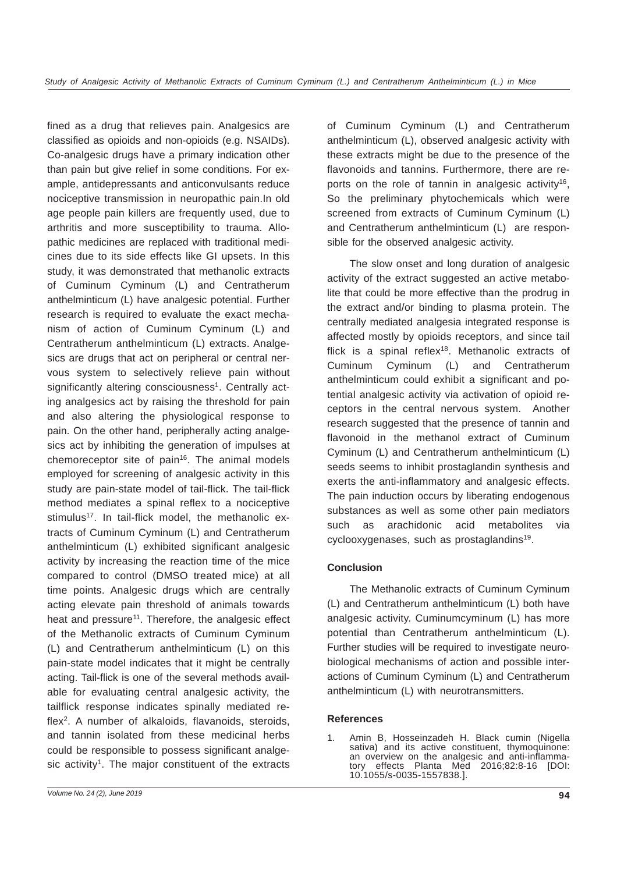fined as a drug that relieves pain. Analgesics are classified as opioids and non-opioids (e.g. NSAIDs). Co-analgesic drugs have a primary indication other than pain but give relief in some conditions. For example, antidepressants and anticonvulsants reduce nociceptive transmission in neuropathic pain.In old age people pain killers are frequently used, due to arthritis and more susceptibility to trauma. Allopathic medicines are replaced with traditional medicines due to its side effects like GI upsets. In this study, it was demonstrated that methanolic extracts of Cuminum Cyminum (L) and Centratherum anthelminticum (L) have analgesic potential. Further research is required to evaluate the exact mechanism of action of Cuminum Cyminum (L) and Centratherum anthelminticum (L) extracts. Analgesics are drugs that act on peripheral or central nervous system to selectively relieve pain without significantly altering consciousness<sup>1</sup>. Centrally acting analgesics act by raising the threshold for pain and also altering the physiological response to pain. On the other hand, peripherally acting analgesics act by inhibiting the generation of impulses at chemoreceptor site of pain $16$ . The animal models employed for screening of analgesic activity in this study are pain-state model of tail-flick. The tail-flick method mediates a spinal reflex to a nociceptive stimulus<sup>17</sup>. In tail-flick model, the methanolic extracts of Cuminum Cyminum (L) and Centratherum anthelminticum (L) exhibited significant analgesic activity by increasing the reaction time of the mice compared to control (DMSO treated mice) at all time points. Analgesic drugs which are centrally acting elevate pain threshold of animals towards heat and pressure<sup>11</sup>. Therefore, the analgesic effect of the Methanolic extracts of Cuminum Cyminum (L) and Centratherum anthelminticum (L) on this pain-state model indicates that it might be centrally acting. Tail-flick is one of the several methods available for evaluating central analgesic activity, the tailflick response indicates spinally mediated reflex<sup>2</sup>. A number of alkaloids, flavanoids, steroids, and tannin isolated from these medicinal herbs could be responsible to possess significant analgesic activity<sup>1</sup>. The major constituent of the extracts

of Cuminum Cyminum (L) and Centratherum anthelminticum (L), observed analgesic activity with these extracts might be due to the presence of the flavonoids and tannins. Furthermore, there are reports on the role of tannin in analgesic activity<sup>16</sup>, So the preliminary phytochemicals which were screened from extracts of Cuminum Cyminum (L) and Centratherum anthelminticum (L) are responsible for the observed analgesic activity.

The slow onset and long duration of analgesic activity of the extract suggested an active metabolite that could be more effective than the prodrug in the extract and/or binding to plasma protein. The centrally mediated analgesia integrated response is affected mostly by opioids receptors, and since tail flick is a spinal reflex $18$ . Methanolic extracts of Cuminum Cyminum (L) and Centratherum anthelminticum could exhibit a significant and potential analgesic activity via activation of opioid receptors in the central nervous system. Another research suggested that the presence of tannin and flavonoid in the methanol extract of Cuminum Cyminum (L) and Centratherum anthelminticum (L) seeds seems to inhibit prostaglandin synthesis and exerts the anti-inflammatory and analgesic effects. The pain induction occurs by liberating endogenous substances as well as some other pain mediators such as arachidonic acid metabolites via cyclooxygenases, such as prostaglandins<sup>19</sup>.

## **Conclusion**

The Methanolic extracts of Cuminum Cyminum (L) and Centratherum anthelminticum (L) both have analgesic activity. Cuminumcyminum (L) has more potential than Centratherum anthelminticum (L). Further studies will be required to investigate neurobiological mechanisms of action and possible interactions of Cuminum Cyminum (L) and Centratherum anthelminticum (L) with neurotransmitters.

### **References**

1. Amin B, Hosseinzadeh H. Black cumin (Nigella sativa) and its active constituent, thymoquinone: an overview on the analgesic and anti-inflammatory effects Planta Med 2016;82:8-16 [DOI: 10.1055/s-0035-1557838.].